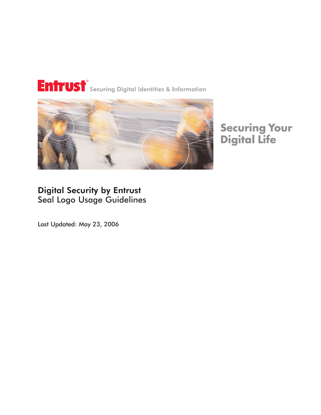# Entrust<sup>®</sup> Securing Digital Identities & Information



# **Securing Your<br>Digital Life**

## Digital Security by Entrust Seal Logo Usage Guidelines

Last Updated: May 23, 2006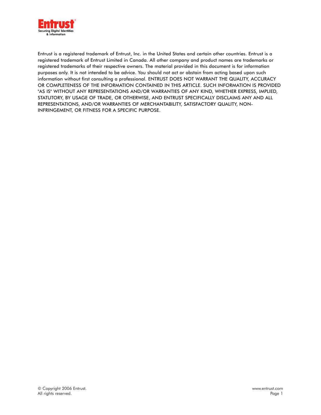

Entrust is a registered trademark of Entrust, Inc. in the United States and certain other countries. Entrust is a registered trademark of Entrust Limited in Canada. All other company and product names are trademarks or registered trademarks of their respective owners. The material provided in this document is for information purposes only. It is not intended to be advice. You should not act or abstain from acting based upon such information without first consulting a professional. ENTRUST DOES NOT WARRANT THE QUALITY, ACCURACY OR COMPLETENESS OF THE INFORMATION CONTAINED IN THIS ARTICLE. SUCH INFORMATION IS PROVIDED "AS IS" WITHOUT ANY REPRESENTATIONS AND/OR WARRANTIES OF ANY KIND, WHETHER EXPRESS, IMPLIED, STATUTORY, BY USAGE OF TRADE, OR OTHERWISE, AND ENTRUST SPECIFICALLY DISCLAIMS ANY AND ALL REPRESENTATIONS, AND/OR WARRANTIES OF MERCHANTABILITY, SATISFACTORY QUALITY, NON-INFRINGEMENT, OR FITNESS FOR A SPECIFIC PURPOSE.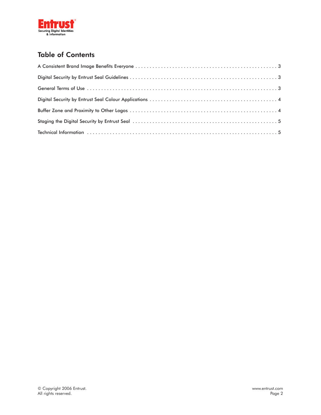

### Table of Contents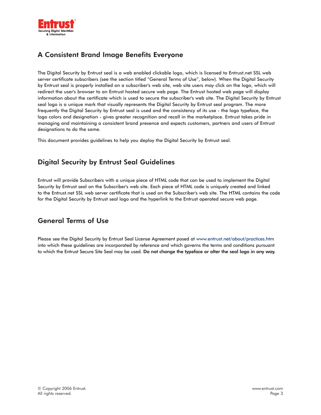

#### A Consistent Brand Image Benefits Everyone

The Digital Security by Entrust seal is a web enabled clickable logo, which is licensed to Entrust.net SSL web server certificate subscribers (see the section titled "General Terms of Use", below). When the Digital Security by Entrust seal is properly installed on a subscriber's web site, web site users may click on the logo, which will redirect the user's browser to an Entrust hosted secure web page. The Entrust hosted web page will display information about the certificate which is used to secure the subscriber's web site. The Digital Security by Entrust seal logo is a unique mark that visually represents the Digital Security by Entrust seal program. The more frequently the Digital Security by Entrust seal is used and the consistency of its use - the logo typeface, the logo colors and designation - gives greater recognition and recall in the marketplace. Entrust takes pride in managing and maintaining a consistent brand presence and expects customers, partners and users of Entrust designations to do the same.

This document provides guidelines to help you deploy the Digital Security by Entrust seal.

#### Digital Security by Entrust Seal Guidelines

Entrust will provide Subscribers with a unique piece of HTML code that can be used to implement the Digital Security by Entrust seal on the Subscriber's web site. Each piece of HTML code is uniquely created and linked to the Entrust.net SSL web server certificate that is used on the Subscriber's web site. The HTML contains the code for the Digital Security by Entrust seal logo and the hyperlink to the Entrust operated secure web page.

#### General Terms of Use

Please see the Digital Security by Entrust Seal License Agreement posed at www.entrust.net/about/practices.htm into which these guidelines are incorporated by reference and which governs the terms and conditions pursuant to which the Entrust Secure Site Seal may be used. Do not change the typeface or alter the seal logo in any way.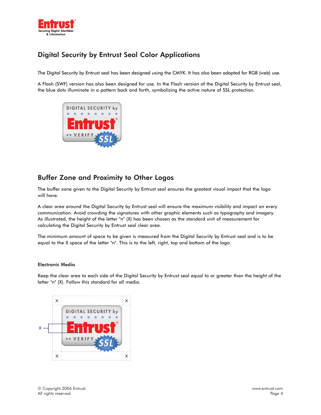

#### Digital Security by Entrust Seal Color Applications

The Digital Security by Entrust seal has been designed using the CMYK. It has also been adapted for RGB (web) use.

A Flash (SWF) version has also been designed for use. In the Flash version of the Digital Security by Entrust seal, the blue dots illuminate in a pattern back and forth, symbolizing the active nature of SSL protection.



#### Buffer Zone and Proximity to Other Logos

The buffer zone given to the Digital Security by Entrust seal ensures the greatest visual impact that the logo will have.

A clear area around the Digital Security by Entrust seal will ensure the maximum visibility and impact on every communication. Avoid crowding the signatures with other graphic elements such as typography and imagery. As illustrated, the height of the letter "n" (X) has been chosen as the standard unit of measurement for calculating the Digital Security by Entrust seal clear area.

The minimum amount of space to be given is measured from the Digital Security by Entrust seal and is to be equal to the X space of the letter "n". This is to the left, right, top and bottom of the logo.

#### Electronic Media

Keep the clear area to each side of the Digital Security by Entrust seal equal to or greater than the height of the letter "n" (X). Follow this standard for all media.